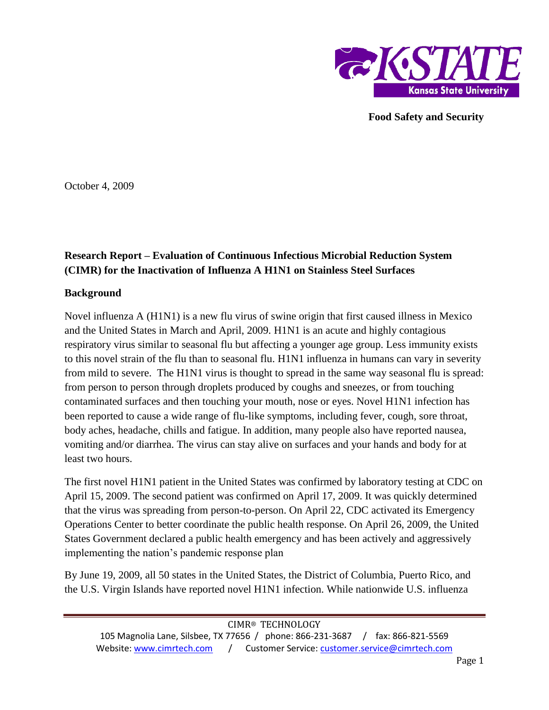

**Food Safety and Security**

October 4, 2009

## **Research Report – Evaluation of Continuous Infectious Microbial Reduction System (CIMR) for the Inactivation of Influenza A H1N1 on Stainless Steel Surfaces**

## **Background**

Novel influenza A (H1N1) is a new flu virus of swine origin that first caused illness in Mexico and the United States in March and April, 2009. H1N1 is an acute and highly contagious respiratory virus similar to seasonal flu but affecting a younger age group. Less immunity exists to this novel strain of the flu than to seasonal flu. H1N1 influenza in humans can vary in severity from mild to severe. The H1N1 virus is thought to spread in the same way seasonal flu is spread: from person to person through droplets produced by coughs and sneezes, or from touching contaminated surfaces and then touching your mouth, nose or eyes. Novel H1N1 infection has been reported to cause a wide range of flu-like symptoms, including fever, cough, sore throat, body aches, headache, chills and fatigue. In addition, many people also have reported nausea, vomiting and/or diarrhea. The virus can stay alive on surfaces and your hands and body for at least two hours.

The first novel H1N1 patient in the United States was confirmed by laboratory testing at CDC on April 15, 2009. The second patient was confirmed on April 17, 2009. It was quickly determined that the virus was spreading from person-to-person. On April 22, CDC activated its Emergency Operations Center to better coordinate the public health response. On April 26, 2009, the United States Government declared a public health emergency and has been actively and aggressively implementing the nation's pandemic response plan

By June 19, 2009, all 50 states in the United States, the District of Columbia, Puerto Rico, and the U.S. Virgin Islands have reported novel H1N1 infection. While nationwide U.S. influenza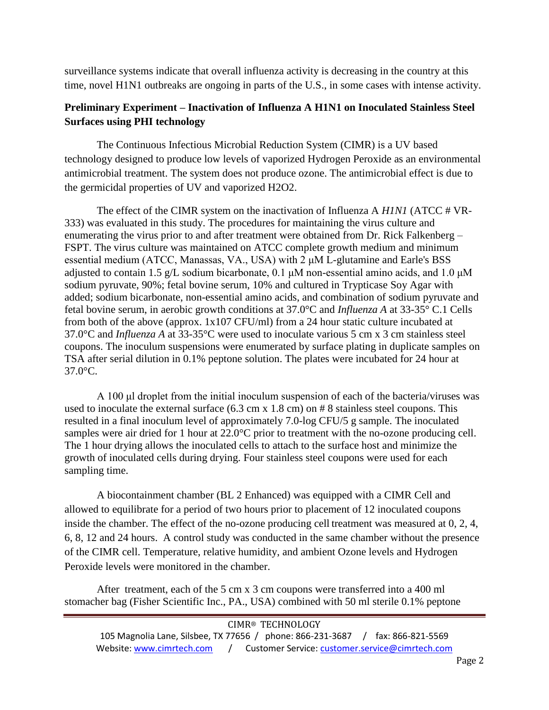surveillance systems indicate that overall influenza activity is decreasing in the country at this time, novel H1N1 outbreaks are ongoing in parts of the U.S., in some cases with intense activity.

## **Preliminary Experiment – Inactivation of Influenza A H1N1 on Inoculated Stainless Steel Surfaces using PHI technology**

The Continuous Infectious Microbial Reduction System (CIMR) is a UV based technology designed to produce low levels of vaporized Hydrogen Peroxide as an environmental antimicrobial treatment. The system does not produce ozone. The antimicrobial effect is due to the germicidal properties of UV and vaporized H2O2.

The effect of the CIMR system on the inactivation of Influenza A *H1N1* (ATCC # VR-333) was evaluated in this study. The procedures for maintaining the virus culture and enumerating the virus prior to and after treatment were obtained from Dr. Rick Falkenberg – FSPT. The virus culture was maintained on ATCC complete growth medium and minimum essential medium (ATCC, Manassas, VA., USA) with 2 μM L-glutamine and Earle's BSS adjusted to contain 1.5 g/L sodium bicarbonate, 0.1  $\mu$ M non-essential amino acids, and 1.0  $\mu$ M sodium pyruvate, 90%; fetal bovine serum, 10% and cultured in Trypticase Soy Agar with added; sodium bicarbonate, non-essential amino acids, and combination of sodium pyruvate and fetal bovine serum, in aerobic growth conditions at 37.0°C and *Influenza A* at 33-35° C.1 Cells from both of the above (approx. 1x107 CFU/ml) from a 24 hour static culture incubated at 37.0°C and *Influenza A* at 33-35°C were used to inoculate various 5 cm x 3 cm stainless steel coupons. The inoculum suspensions were enumerated by surface plating in duplicate samples on TSA after serial dilution in 0.1% peptone solution. The plates were incubated for 24 hour at 37.0°C.

A 100 μl droplet from the initial inoculum suspension of each of the bacteria/viruses was used to inoculate the external surface (6.3 cm x 1.8 cm) on # 8 stainless steel coupons. This resulted in a final inoculum level of approximately 7.0-log CFU/5 g sample. The inoculated samples were air dried for 1 hour at 22.0°C prior to treatment with the no-ozone producing cell. The 1 hour drying allows the inoculated cells to attach to the surface host and minimize the growth of inoculated cells during drying. Four stainless steel coupons were used for each sampling time.

A biocontainment chamber (BL 2 Enhanced) was equipped with a CIMR Cell and allowed to equilibrate for a period of two hours prior to placement of 12 inoculated coupons inside the chamber. The effect of the no-ozone producing cell treatment was measured at 0, 2, 4, 6, 8, 12 and 24 hours. A control study was conducted in the same chamber without the presence of the CIMR cell. Temperature, relative humidity, and ambient Ozone levels and Hydrogen Peroxide levels were monitored in the chamber.

After treatment, each of the 5 cm x 3 cm coupons were transferred into a 400 ml stomacher bag (Fisher Scientific Inc., PA., USA) combined with 50 ml sterile 0.1% peptone

| CIMR® TECHNOLOGY          |                                                                                |  |  |
|---------------------------|--------------------------------------------------------------------------------|--|--|
|                           | 105 Magnolia Lane, Silsbee, TX 77656 / phone: 866-231-3687 / fax: 866-821-5569 |  |  |
| Website: www.cimrtech.com | Customer Service: customer.service@cimrtech.com                                |  |  |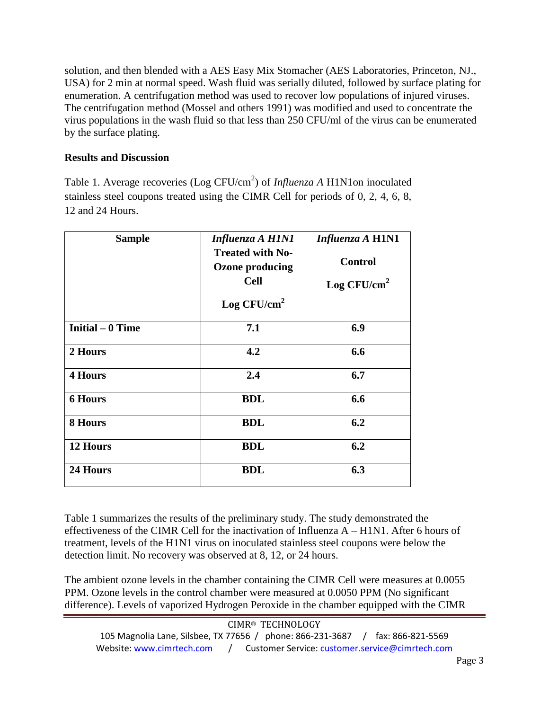solution, and then blended with a AES Easy Mix Stomacher (AES Laboratories, Princeton, NJ., USA) for 2 min at normal speed. Wash fluid was serially diluted, followed by surface plating for enumeration. A centrifugation method was used to recover low populations of injured viruses. The centrifugation method (Mossel and others 1991) was modified and used to concentrate the virus populations in the wash fluid so that less than 250 CFU/ml of the virus can be enumerated by the surface plating.

## **Results and Discussion**

Table 1. Average recoveries (Log CFU/cm<sup>2</sup>) of *Influenza A* H1N1on inoculated stainless steel coupons treated using the CIMR Cell for periods of 0, 2, 4, 6, 8, 12 and 24 Hours.

| <b>Sample</b>     | Influenza A H1N1<br><b>Treated with No-</b><br><b>Ozone producing</b><br><b>Cell</b><br>Log $CFU/cm^2$ | <b>Influenza A H1N1</b><br><b>Control</b><br>Log $CFU/cm^2$ |
|-------------------|--------------------------------------------------------------------------------------------------------|-------------------------------------------------------------|
| Initial $-0$ Time | 7.1                                                                                                    | 6.9                                                         |
| 2 Hours           | 4.2                                                                                                    | 6.6                                                         |
| <b>4 Hours</b>    | 2.4                                                                                                    | 6.7                                                         |
| <b>6 Hours</b>    | <b>BDL</b>                                                                                             | 6.6                                                         |
| 8 Hours           | <b>BDL</b>                                                                                             | 6.2                                                         |
| 12 Hours          | <b>BDL</b>                                                                                             | 6.2                                                         |
| 24 Hours          | <b>BDL</b>                                                                                             | 6.3                                                         |

Table 1 summarizes the results of the preliminary study. The study demonstrated the effectiveness of the CIMR Cell for the inactivation of Influenza A – H1N1. After 6 hours of treatment, levels of the H1N1 virus on inoculated stainless steel coupons were below the detection limit. No recovery was observed at 8, 12, or 24 hours.

The ambient ozone levels in the chamber containing the CIMR Cell were measures at 0.0055 PPM. Ozone levels in the control chamber were measured at 0.0050 PPM (No significant difference). Levels of vaporized Hydrogen Peroxide in the chamber equipped with the CIMR